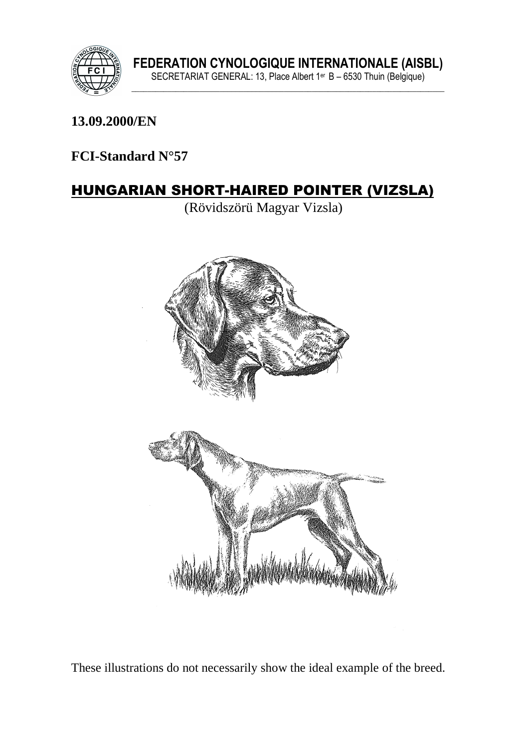

### **13.09.2000/EN**

### **FCI-Standard N°57**

# HUNGARIAN SHORT-HAIRED POINTER (VIZSLA)

(Rövidszörü Magyar Vizsla)



These illustrations do not necessarily show the ideal example of the breed.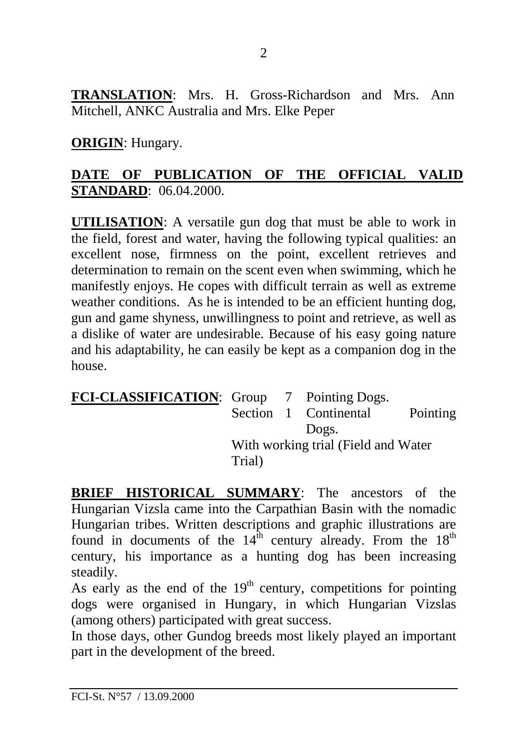**TRANSLATION**: Mrs. H. Gross-Richardson and Mrs. Ann Mitchell, ANKC Australia and Mrs. Elke Peper

**ORIGIN**: Hungary.

### **DATE OF PUBLICATION OF THE OFFICIAL VALID STANDARD**:06.04.2000.

**UTILISATION**: A versatile gun dog that must be able to work in the field, forest and water, having the following typical qualities: an excellent nose, firmness on the point, excellent retrieves and determination to remain on the scent even when swimming, which he manifestly enjoys. He copes with difficult terrain as well as extreme weather conditions. As he is intended to be an efficient hunting dog, gun and game shyness, unwillingness to point and retrieve, as well as a dislike of water are undesirable. Because of his easy going nature and his adaptability, he can easily be kept as a companion dog in the house.

| FCI-CLASSIFICATION: Group 7 Pointing Dogs. |                                     |  |                       |                 |
|--------------------------------------------|-------------------------------------|--|-----------------------|-----------------|
|                                            |                                     |  | Section 1 Continental | <b>Pointing</b> |
|                                            |                                     |  | Dogs.                 |                 |
|                                            | With working trial (Field and Water |  |                       |                 |
|                                            | Trial)                              |  |                       |                 |

**BRIEF HISTORICAL SUMMARY**: The ancestors of the Hungarian Vizsla came into the Carpathian Basin with the nomadic Hungarian tribes. Written descriptions and graphic illustrations are found in documents of the  $14<sup>th</sup>$  century already. From the  $18<sup>th</sup>$ century, his importance as a hunting dog has been increasing steadily.

As early as the end of the  $19<sup>th</sup>$  century, competitions for pointing dogs were organised in Hungary, in which Hungarian Vizslas (among others) participated with great success.

In those days, other Gundog breeds most likely played an important part in the development of the breed.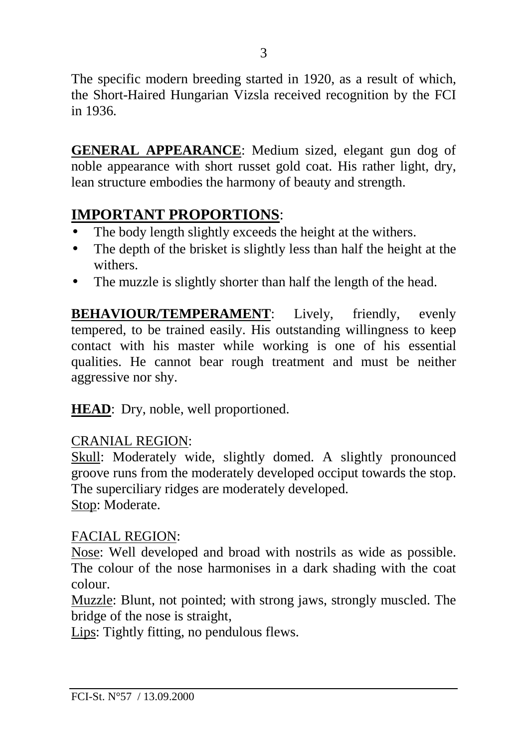The specific modern breeding started in 1920, as a result of which, the Short-Haired Hungarian Vizsla received recognition by the FCI in 1936.

**GENERAL APPEARANCE**: Medium sized, elegant gun dog of noble appearance with short russet gold coat. His rather light, dry, lean structure embodies the harmony of beauty and strength.

# **IMPORTANT PROPORTIONS**:

- The body length slightly exceeds the height at the withers.
- The depth of the brisket is slightly less than half the height at the withers.
- The muzzle is slightly shorter than half the length of the head.

**BEHAVIOUR/TEMPERAMENT:** Lively, friendly, evenly tempered, to be trained easily. His outstanding willingness to keep contact with his master while working is one of his essential qualities. He cannot bear rough treatment and must be neither aggressive nor shy.

**HEAD**: Dry, noble, well proportioned.

#### CRANIAL REGION:

Skull: Moderately wide, slightly domed. A slightly pronounced groove runs from the moderately developed occiput towards the stop. The superciliary ridges are moderately developed. Stop: Moderate.

#### FACIAL REGION:

Nose: Well developed and broad with nostrils as wide as possible. The colour of the nose harmonises in a dark shading with the coat colour.

Muzzle: Blunt, not pointed; with strong jaws, strongly muscled. The bridge of the nose is straight,

Lips: Tightly fitting, no pendulous flews.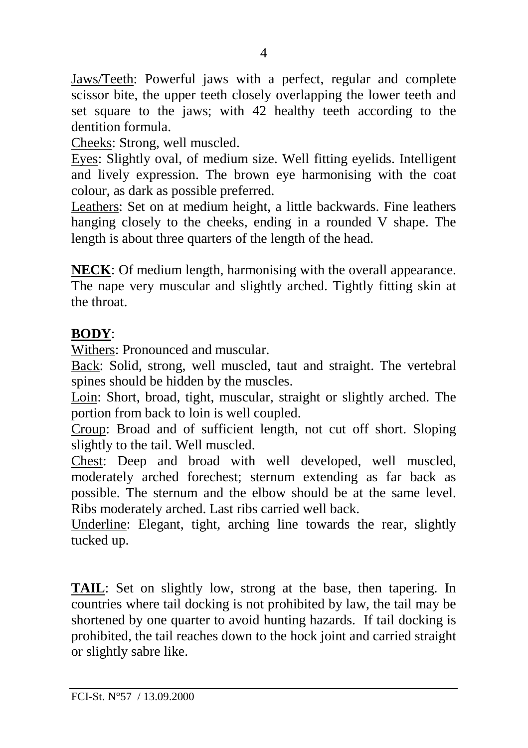Jaws/Teeth: Powerful jaws with a perfect, regular and complete scissor bite, the upper teeth closely overlapping the lower teeth and set square to the jaws; with 42 healthy teeth according to the dentition formula.

Cheeks: Strong, well muscled.

Eyes: Slightly oval, of medium size. Well fitting eyelids. Intelligent and lively expression. The brown eye harmonising with the coat colour, as dark as possible preferred.

Leathers: Set on at medium height, a little backwards. Fine leathers hanging closely to the cheeks, ending in a rounded V shape. The length is about three quarters of the length of the head.

**NECK**: Of medium length, harmonising with the overall appearance. The nape very muscular and slightly arched. Tightly fitting skin at the throat.

# **BODY**:

Withers: Pronounced and muscular.

Back: Solid, strong, well muscled, taut and straight. The vertebral spines should be hidden by the muscles.

Loin: Short, broad, tight, muscular, straight or slightly arched. The portion from back to loin is well coupled.

Croup: Broad and of sufficient length, not cut off short. Sloping slightly to the tail. Well muscled.

Chest: Deep and broad with well developed, well muscled, moderately arched forechest; sternum extending as far back as possible. The sternum and the elbow should be at the same level. Ribs moderately arched. Last ribs carried well back.

Underline: Elegant, tight, arching line towards the rear, slightly tucked up.

**TAIL**: Set on slightly low, strong at the base, then tapering. In countries where tail docking is not prohibited by law, the tail may be shortened by one quarter to avoid hunting hazards. If tail docking is prohibited, the tail reaches down to the hock joint and carried straight or slightly sabre like.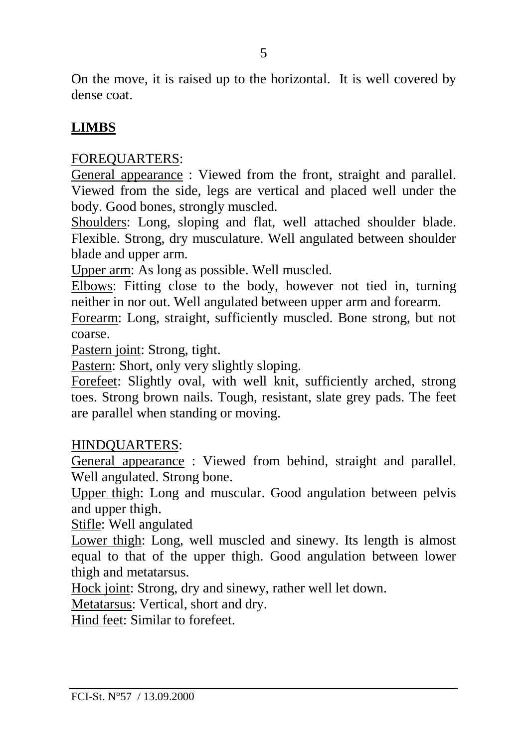On the move, it is raised up to the horizontal. It is well covered by dense coat.

# **LIMBS**

### FOREQUARTERS:

General appearance : Viewed from the front, straight and parallel. Viewed from the side, legs are vertical and placed well under the body. Good bones, strongly muscled.

Shoulders: Long, sloping and flat, well attached shoulder blade. Flexible. Strong, dry musculature. Well angulated between shoulder blade and upper arm.

Upper arm: As long as possible. Well muscled.

Elbows: Fitting close to the body, however not tied in, turning neither in nor out. Well angulated between upper arm and forearm.

Forearm: Long, straight, sufficiently muscled. Bone strong, but not coarse.

Pastern joint: Strong, tight.

Pastern: Short, only very slightly sloping.

Forefeet: Slightly oval, with well knit, sufficiently arched, strong toes. Strong brown nails. Tough, resistant, slate grey pads. The feet are parallel when standing or moving.

#### HINDQUARTERS:

General appearance : Viewed from behind, straight and parallel. Well angulated. Strong bone.

Upper thigh: Long and muscular. Good angulation between pelvis and upper thigh.

Stifle: Well angulated

Lower thigh: Long, well muscled and sinewy. Its length is almost equal to that of the upper thigh. Good angulation between lower thigh and metatarsus.

Hock joint: Strong, dry and sinewy, rather well let down.

Metatarsus: Vertical, short and dry.

Hind feet: Similar to forefeet.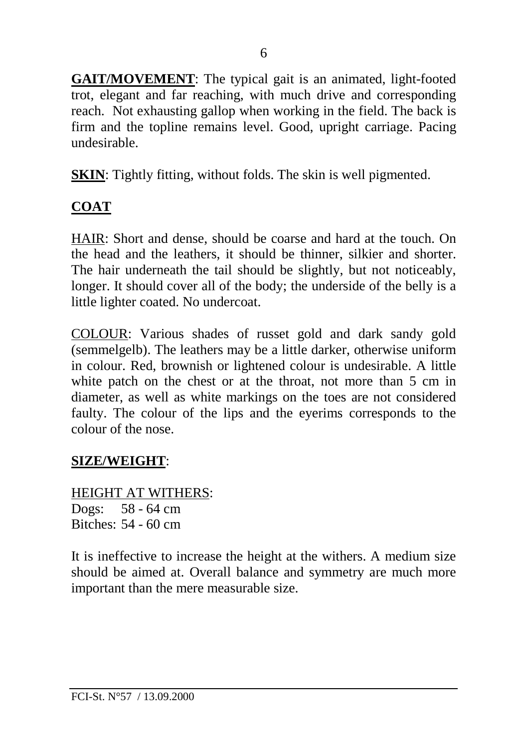**GAIT/MOVEMENT**: The typical gait is an animated, light-footed trot, elegant and far reaching, with much drive and corresponding reach. Not exhausting gallop when working in the field. The back is firm and the topline remains level. Good, upright carriage. Pacing undesirable.

**SKIN**: Tightly fitting, without folds. The skin is well pigmented.

# **COAT**

HAIR: Short and dense, should be coarse and hard at the touch. On the head and the leathers, it should be thinner, silkier and shorter. The hair underneath the tail should be slightly, but not noticeably, longer. It should cover all of the body; the underside of the belly is a little lighter coated. No undercoat.

COLOUR: Various shades of russet gold and dark sandy gold (semmelgelb). The leathers may be a little darker, otherwise uniform in colour. Red, brownish or lightened colour is undesirable. A little white patch on the chest or at the throat, not more than 5 cm in diameter, as well as white markings on the toes are not considered faulty. The colour of the lips and the eyerims corresponds to the colour of the nose.

# **SIZE/WEIGHT**:

HEIGHT AT WITHERS: Dogs: 58 - 64 cm Bitches: 54 - 60 cm

It is ineffective to increase the height at the withers. A medium size should be aimed at. Overall balance and symmetry are much more important than the mere measurable size.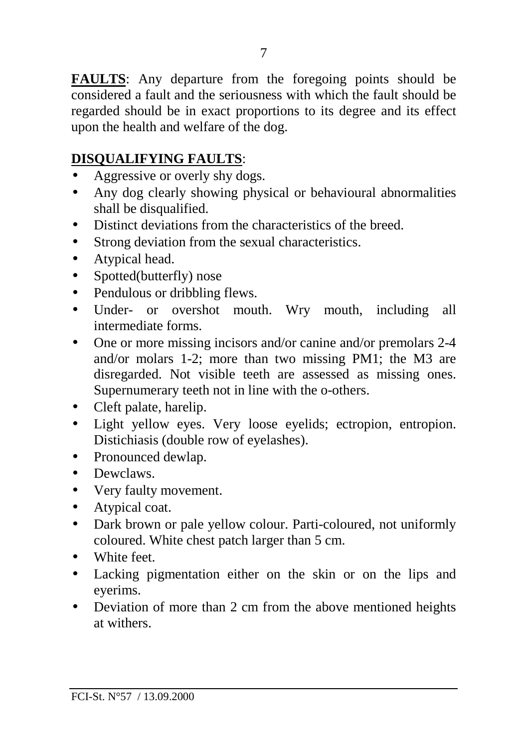**FAULTS**: Any departure from the foregoing points should be considered a fault and the seriousness with which the fault should be regarded should be in exact proportions to its degree and its effect upon the health and welfare of the dog.

# **DISQUALIFYING FAULTS**:

- Aggressive or overly shy dogs.
- Any dog clearly showing physical or behavioural abnormalities shall be disqualified.
- Distinct deviations from the characteristics of the breed.
- Strong deviation from the sexual characteristics.
- Atypical head.
- Spotted(butterfly) nose
- Pendulous or dribbling flews.
- Under- or overshot mouth. Wry mouth, including all intermediate forms.
- One or more missing incisors and/or canine and/or premolars 2-4 and/or molars 1-2; more than two missing PM1; the M3 are disregarded. Not visible teeth are assessed as missing ones. Supernumerary teeth not in line with the o-others.
- Cleft palate, harelip.
- Light yellow eyes. Very loose eyelids; ectropion, entropion. Distichiasis (double row of eyelashes).
- Pronounced dewlap.
- Dewclaws.
- Very faulty movement.
- Atypical coat.
- Dark brown or pale yellow colour. Parti-coloured, not uniformly coloured. White chest patch larger than 5 cm.
- White feet.
- Lacking pigmentation either on the skin or on the lips and eyerims.
- Deviation of more than 2 cm from the above mentioned heights at withers.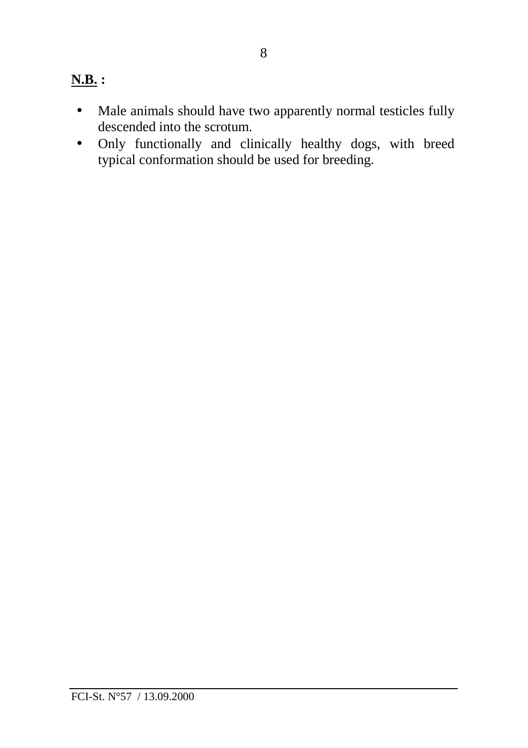# **N.B. :**

- Male animals should have two apparently normal testicles fully descended into the scrotum.
- Only functionally and clinically healthy dogs, with breed typical conformation should be used for breeding.